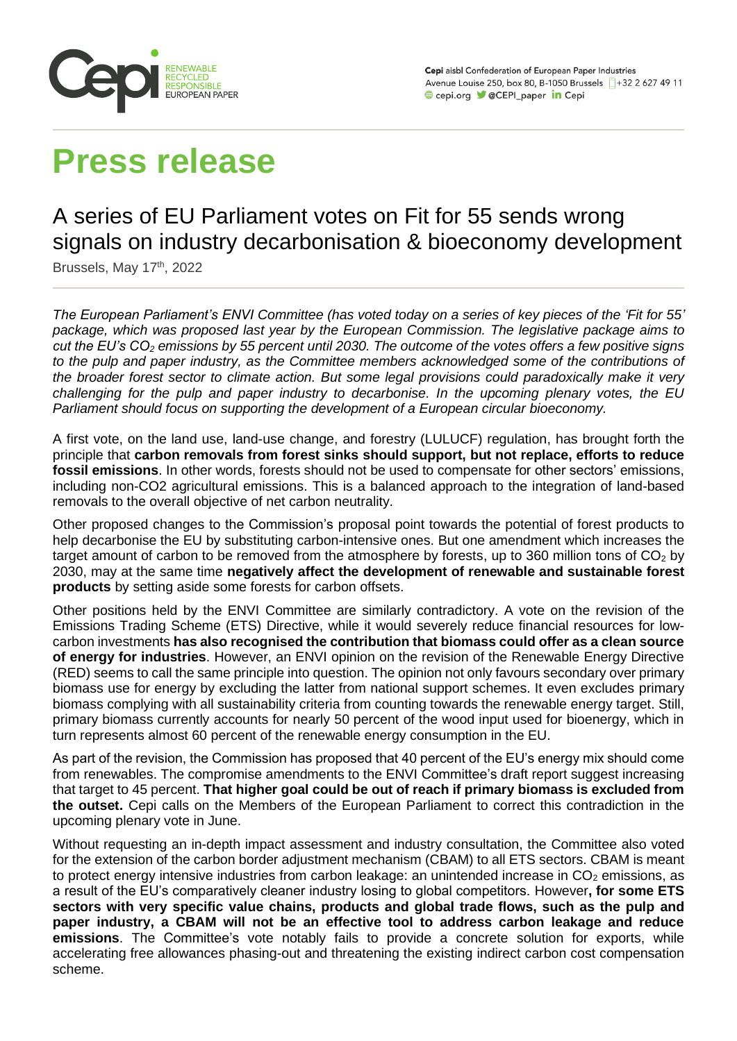

# **Press release**

# A series of EU Parliament votes on Fit for 55 sends wrong signals on industry decarbonisation & bioeconomy development

Brussels, May 17<sup>th</sup>, 2022

*The European Parliament's ENVI Committee (has voted today on a series of key pieces of the 'Fit for 55' package, which was proposed last year by the European Commission. The legislative package aims to cut the EU's CO<sup>2</sup> emissions by 55 percent until 2030. The outcome of the votes offers a few positive signs to the pulp and paper industry, as the Committee members acknowledged some of the contributions of the broader forest sector to climate action. But some legal provisions could paradoxically make it very challenging for the pulp and paper industry to decarbonise. In the upcoming plenary votes, the EU Parliament should focus on supporting the development of a European circular bioeconomy.* 

A first vote, on the land use, land-use change, and forestry (LULUCF) regulation, has brought forth the principle that **carbon removals from forest sinks should support, but not replace, efforts to reduce fossil emissions**. In other words, forests should not be used to compensate for other sectors' emissions, including non-CO2 agricultural emissions. This is a balanced approach to the integration of land-based removals to the overall objective of net carbon neutrality.

Other proposed changes to the Commission's proposal point towards the potential of forest products to help decarbonise the EU by substituting carbon-intensive ones. But one amendment which increases the target amount of carbon to be removed from the atmosphere by forests, up to 360 million tons of  $CO<sub>2</sub>$  by 2030, may at the same time **negatively affect the development of renewable and sustainable forest products** by setting aside some forests for carbon offsets.

Other positions held by the ENVI Committee are similarly contradictory. A vote on the revision of the Emissions Trading Scheme (ETS) Directive, while it would severely reduce financial resources for lowcarbon investments **has also recognised the contribution that biomass could offer as a clean source of energy for industries**. However, an ENVI opinion on the revision of the Renewable Energy Directive (RED) seems to call the same principle into question. The opinion not only favours secondary over primary biomass use for energy by excluding the latter from national support schemes. It even excludes primary biomass complying with all sustainability criteria from counting towards the renewable energy target. Still, primary biomass currently accounts for nearly 50 percent of the wood input used for bioenergy, which in turn represents almost 60 percent of the renewable energy consumption in the EU.

As part of the revision, the Commission has proposed that 40 percent of the EU's energy mix should come from renewables. The compromise amendments to the ENVI Committee's draft report suggest increasing that target to 45 percent. **That higher goal could be out of reach if primary biomass is excluded from the outset.** Cepi calls on the Members of the European Parliament to correct this contradiction in the upcoming plenary vote in June.

Without requesting an in-depth impact assessment and industry consultation, the Committee also voted for the extension of the carbon border adjustment mechanism (CBAM) to all ETS sectors. CBAM is meant to protect energy intensive industries from carbon leakage: an unintended increase in  $CO<sub>2</sub>$  emissions, as a result of the EU's comparatively cleaner industry losing to global competitors. However**, for some ETS sectors with very specific value chains, products and global trade flows, such as the pulp and paper industry, a CBAM will not be an effective tool to address carbon leakage and reduce emissions**. The Committee's vote notably fails to provide a concrete solution for exports, while accelerating free allowances phasing-out and threatening the existing indirect carbon cost compensation scheme.